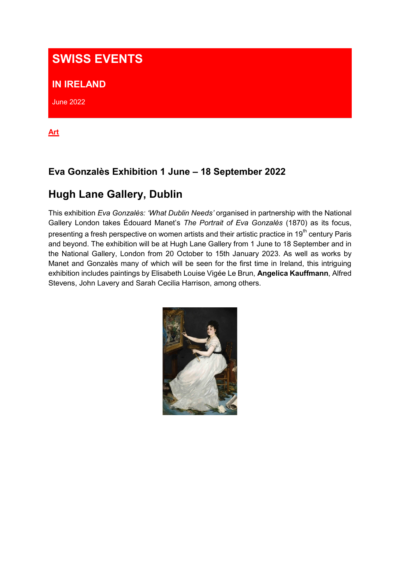# **SWISS EVENTS**

#### **IN IRELAND**

June 2022

**Art**

## **Eva Gonzalès Exhibition 1 June – 18 September 2022**

# **Hugh Lane Gallery, Dublin**

This exhibition *Eva Gonzalès: 'What Dublin Needs'* organised in partnership with the National Gallery London takes Édouard Manet's *The Portrait of Eva Gonzalès* (1870) as its focus, presenting a fresh perspective on women artists and their artistic practice in 19<sup>th</sup> century Paris and beyond. The exhibition will be at Hugh Lane Gallery from 1 June to 18 September and in the National Gallery, London from 20 October to 15th January 2023. As well as works by Manet and Gonzalès many of which will be seen for the first time in Ireland, this intriguing exhibition includes paintings by Elisabeth Louise Vigée Le Brun, **Angelica Kauffmann**, Alfred Stevens, John Lavery and Sarah Cecilia Harrison, among others.

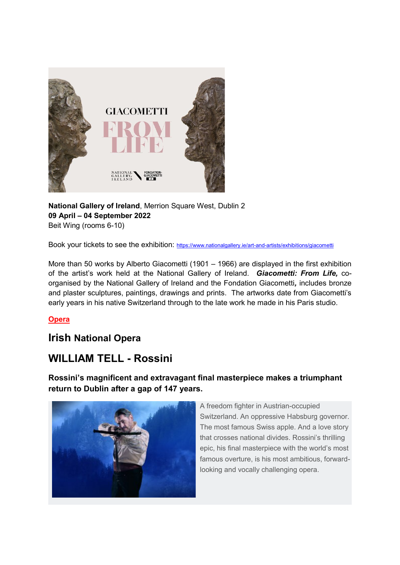

**National Gallery of Ireland**, Merrion Square West, Dublin 2 **09 April – 04 September 2022** Beit Wing (rooms 6-10)

Book your tickets to see the exhibition: <https://www.nationalgallery.ie/art-and-artists/exhibitions/giacometti>

More than 50 works by Alberto Giacometti (1901 – 1966) are displayed in the first exhibition of the artist's work held at the National Gallery of Ireland. *Giacometti: From Life,* coorganised by the National Gallery of Ireland and the Fondation Giacometti*,* includes bronze and plaster sculptures, paintings, drawings and prints. The artworks date from Giacometti's early years in his native Switzerland through to the late work he made in his Paris studio.

#### **Opera**

## **Irish National Opera**

# **WILLIAM TELL - Rossini**

**Rossini's magnificent and extravagant final masterpiece makes a triumphant return to Dublin after a gap of 147 years.**



A freedom fighter in Austrian-occupied Switzerland. An oppressive Habsburg governor. The most famous Swiss apple. And a love story that crosses national divides. Rossini's thrilling epic, his final masterpiece with the world's most famous overture, is his most ambitious, forwardlooking and vocally challenging opera.